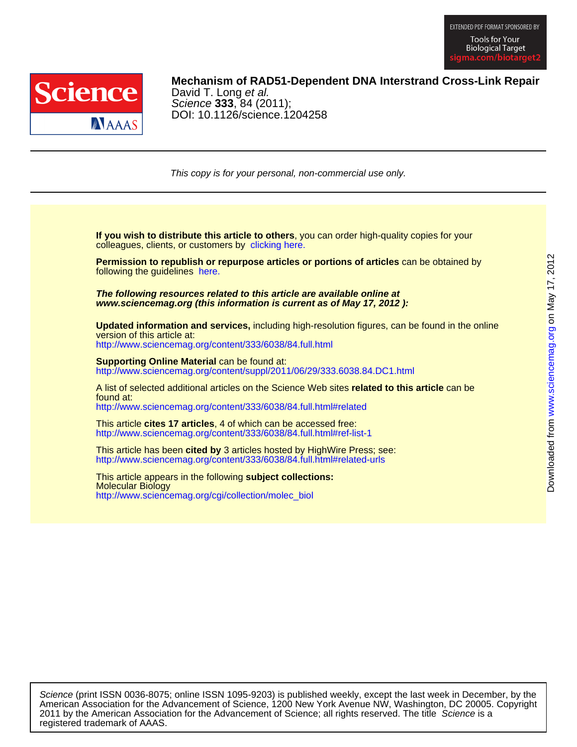



## **Mechanism of RAD51-Dependent DNA Interstrand Cross-Link Repair**

DOI: 10.1126/science.1204258 Science **333**, 84 (2011); David T. Long et al.

This copy is for your personal, non-commercial use only.

colleagues, clients, or customers by [clicking here.](http://www.sciencemag.org/about/permissions.dtl) **If you wish to distribute this article to others**, you can order high-quality copies for your

following the guidelines [here.](http://www.sciencemag.org/about/permissions.dtl) **Permission to republish or repurpose articles or portions of articles** can be obtained by

**www.sciencemag.org (this information is current as of May 17, 2012 ): The following resources related to this article are available online at**

version of this article at: **Updated information and services,** including high-resolution figures, can be found in the online

<http://www.sciencemag.org/content/333/6038/84.full.html>

http://www.sciencemag.org/content/suppl/2011/06/29/333.6038.84.DC1.html **Supporting Online Material can be found at:** 

<http://www.sciencemag.org/content/333/6038/84.full.html#related> found at: A list of selected additional articles on the Science Web sites **related to this article** can be

<http://www.sciencemag.org/content/333/6038/84.full.html#ref-list-1> This article **cites 17 articles**, 4 of which can be accessed free:

<http://www.sciencemag.org/content/333/6038/84.full.html#related-urls> This article has been **cited by** 3 articles hosted by HighWire Press; see:

[http://www.sciencemag.org/cgi/collection/molec\\_biol](http://www.sciencemag.org/cgi/collection/molec_biol) Molecular Biology This article appears in the following **subject collections:**

registered trademark of AAAS. 2011 by the American Association for the Advancement of Science; all rights reserved. The title Science is a American Association for the Advancement of Science, 1200 New York Avenue NW, Washington, DC 20005. Copyright Science (print ISSN 0036-8075; online ISSN 1095-9203) is published weekly, except the last week in December, by the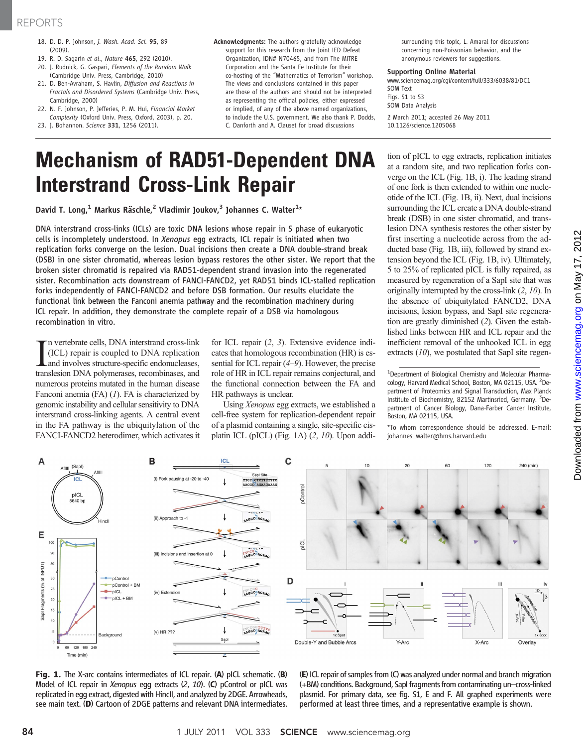## REPORTS

- 18. D. D. P. Johnson, J. Wash. Acad. Sci. 95, 89 (2009).
- 19. R. D. Sagarin et al., Nature 465, 292 (2010).
- 20. J. Rudnick, G. Gaspari, Elements of the Random Walk (Cambridge Univ. Press, Cambridge, 2010)
- 21. D. Ben-Avraham, S. Havlin, Diffusion and Reactions in Fractals and Disordered Systems (Cambridge Univ. Press, Cambridge, 2000)
- 22. N. F. Johnson, P. Jefferies, P. M. Hui, Financial Market Complexity (Oxford Univ. Press, Oxford, 2003), p. 20.
- 23. J. Bohannon. Science 331, 1256 (2011).
- Acknowledgments: The authors gratefully acknowledge support for this research from the Joint IED Defeat Organization, IDN# N70465, and from The MITRE Corporation and the Santa Fe Institute for their co-hosting of the "Mathematics of Terrorism" workshop. The views and conclusions contained in this paper are those of the authors and should not be interpreted as representing the official policies, either expressed or implied, of any of the above named organizations, to include the U.S. government. We also thank P. Dodds, C. Danforth and A. Clauset for broad discussions

surrounding this topic, L. Amaral for discussions concerning non-Poissonian behavior, and the anonymous reviewers for suggestions.

### Supporting Online Material

www.sciencemag.org/cgi/content/full/333/6038/81/DC1 SOM Text Figs. S1 to S3 SOM Data Analysis 2 March 2011; accepted 26 May 2011 10.1126/science.1205068

# Mechanism of RAD51-Dependent DNA Interstrand Cross-Link Repair

David T. Long, $^1$  Markus Räschle, $^2$  Vladimir Joukov, $^3$  Johannes C. Walter $^{1_\star}$ 

DNA interstrand cross-links (ICLs) are toxic DNA lesions whose repair in S phase of eukaryotic cells is incompletely understood. In Xenopus egg extracts, ICL repair is initiated when two replication forks converge on the lesion. Dual incisions then create a DNA double-strand break (DSB) in one sister chromatid, whereas lesion bypass restores the other sister. We report that the broken sister chromatid is repaired via RAD51-dependent strand invasion into the regenerated sister. Recombination acts downstream of FANCI-FANCD2, yet RAD51 binds ICL-stalled replication forks independently of FANCI-FANCD2 and before DSB formation. Our results elucidate the functional link between the Fanconi anemia pathway and the recombination machinery during ICL repair. In addition, they demonstrate the complete repair of a DSB via homologous recombination in vitro.

In vertebrate cells, DNA interstrand cross-link<br>(ICL) repair is coupled to DNA replication<br>and involves structure-specific endonucleases,<br>translesion DNA polymerases, recombinases, and n vertebrate cells, DNA interstrand cross-link (ICL) repair is coupled to DNA replication and involves structure-specific endonucleases, numerous proteins mutated in the human disease Fanconi anemia (FA) (1). FA is characterized by genomic instability and cellular sensitivity to DNA interstrand cross-linking agents. A central event in the FA pathway is the ubiquitylation of the FANCI-FANCD2 heterodimer, which activates it

for ICL repair (2, 3). Extensive evidence indicates that homologous recombination (HR) is essential for ICL repair (4–9). However, the precise role of HR in ICL repair remains conjectural, and the functional connection between the FA and HR pathways is unclear.

Using Xenopus egg extracts, we established a cell-free system for replication-dependent repair of a plasmid containing a single, site-specific cisplatin ICL (pICL) (Fig. 1A) (2, 10). Upon addition of pICL to egg extracts, replication initiates at a random site, and two replication forks converge on the ICL (Fig. 1B, i). The leading strand of one fork is then extended to within one nucleotide of the ICL (Fig. 1B, ii). Next, dual incisions surrounding the ICL create a DNA double-strand break (DSB) in one sister chromatid, and translesion DNA synthesis restores the other sister by first inserting a nucleotide across from the adducted base (Fig. 1B, iii), followed by strand extension beyond the ICL (Fig. 1B, iv). Ultimately, 5 to 25% of replicated pICL is fully repaired, as measured by regeneration of a SapI site that was originally interrupted by the cross-link (2, 10). In the absence of ubiquitylated FANCD2, DNA incisions, lesion bypass, and SapI site regeneration are greatly diminished (2). Given the established links between HR and ICL repair and the inefficient removal of the unhooked ICL in egg extracts  $(10)$ , we postulated that SapI site regen-

\*To whom correspondence should be addressed. E-mail: johannes\_walter@hms.harvard.edu



Fig. 1. The X-arc contains intermediates of ICL repair. (A) pICL schematic. (B) Model of ICL repair in Xenopus egg extracts (2, <sup>10</sup>). (C) pControl or pICL was replicated in egg extract, digested with HincII, and analyzed by 2DGE. Arrowheads, see main text. (D) Cartoon of 2DGE patterns and relevant DNA intermediates.

(E) ICL repair of samples from(C) was analyzed under normal and branch migration (+BM) conditions. Background, SapI fragments from contaminating un–cross-linked plasmid. For primary data, see fig. S1, E and F. All graphed experiments were performed at least three times, and a representative example is shown.

<sup>&</sup>lt;sup>1</sup>Department of Biological Chemistry and Molecular Pharmacology, Harvard Medical School, Boston, MA 02115, USA. <sup>2</sup>Department of Proteomics and Signal Transduction, Max Planck Institute of Biochemistry, 82152 Martinsried, Germany. <sup>3</sup>Department of Cancer Biology, Dana-Farber Cancer Institute, Boston, MA 02115, USA.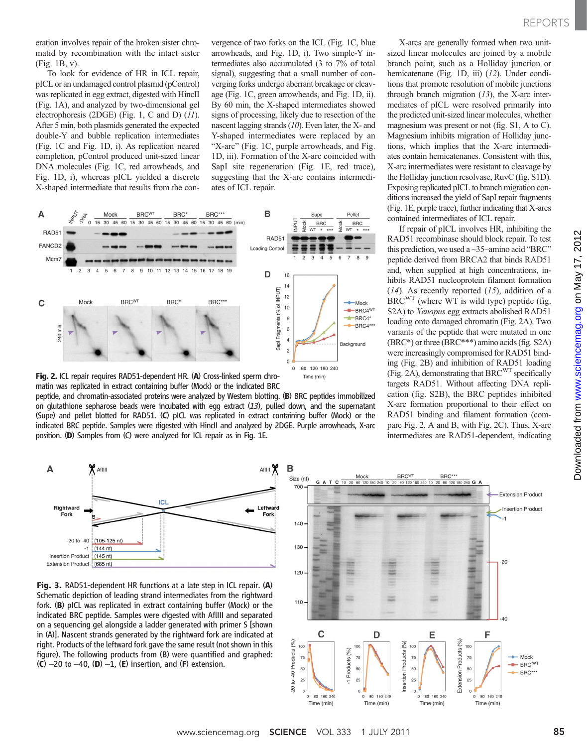eration involves repair of the broken sister chromatid by recombination with the intact sister (Fig. 1B, v).

To look for evidence of HR in ICL repair, pICL or an undamaged control plasmid (pControl) was replicated in egg extract, digested with HincII (Fig. 1A), and analyzed by two-dimensional gel electrophoresis (2DGE) (Fig. 1, C and D) (11). After 5 min, both plasmids generated the expected double-Y and bubble replication intermediates (Fig. 1C and Fig. 1D, i). As replication neared completion, pControl produced unit-sized linear DNA molecules (Fig. 1C, red arrowheads, and Fig. 1D, i), whereas pICL yielded a discrete X-shaped intermediate that results from the convergence of two forks on the ICL (Fig. 1C, blue arrowheads, and Fig. 1D, i). Two simple-Y intermediates also accumulated (3 to 7% of total signal), suggesting that a small number of converging forks undergo aberrant breakage or cleavage (Fig. 1C, green arrowheads, and Fig. 1D, ii). By 60 min, the X-shaped intermediates showed signs of processing, likely due to resection of the nascent lagging strands (10). Even later, the X- and Y-shaped intermediates were replaced by an "X-arc" (Fig. 1C, purple arrowheads, and Fig. 1D, iii). Formation of the X-arc coincided with SapI site regeneration (Fig. 1E, red trace), suggesting that the X-arc contains intermediates of ICL repair.



Fig. 2. ICL repair requires RAD51-dependent HR. (A) Cross-linked sperm chromatin was replicated in extract containing buffer (Mock) or the indicated BRC peptide, and chromatin-associated proteins were analyzed by Western blotting. (B) BRC peptides immobilized

on glutathione sepharose beads were incubated with egg extract  $(13)$ , pulled down, and the supernatant (Supe) and pellet blotted for RAD51. (C) pICL was replicated in extract containing buffer (Mock) or the indicated BRC peptide. Samples were digested with HincII and analyzed by 2DGE. Purple arrowheads, X-arc position. (D) Samples from (C) were analyzed for ICL repair as in Fig. 1E.

X-arcs are generally formed when two unitsized linear molecules are joined by a mobile branch point, such as a Holliday junction or hemicatenane (Fig. 1D, iii) (12). Under conditions that promote resolution of mobile junctions through branch migration  $(13)$ , the X-arc intermediates of pICL were resolved primarily into the predicted unit-sized linear molecules, whether magnesium was present or not (fig. S1, A to C). Magnesium inhibits migration of Holliday junctions, which implies that the X-arc intermediates contain hemicatenanes. Consistent with this, X-arc intermediates were resistant to cleavage by the Holliday junction resolvase, RuvC (fig. S1D). Exposing replicated pICL to branch migration conditions increased the yield of SapI repair fragments (Fig. 1E, purple trace), further indicating that X-arcs contained intermediates of ICL repair.

If repair of pICL involves HR, inhibiting the RAD51 recombinase should block repair. To test this prediction, we used a  $\sim$ 35–amino acid "BRC" peptide derived from BRCA2 that binds RAD51 and, when supplied at high concentrations, inhibits RAD51 nucleoprotein filament formation  $(14)$ . As recently reported  $(15)$ , addition of a  $BRC<sup>WT</sup>$  (where WT is wild type) peptide (fig. S2A) to *Xenopus* egg extracts abolished RAD51 loading onto damaged chromatin (Fig. 2A). Two variants of the peptide that were mutated in one (BRC\*) or three (BRC\*\*\*) amino acids (fig. S2A) were increasingly compromised for RAD51 binding (Fig. 2B) and inhibition of RAD51 loading (Fig. 2A), demonstrating that BRC<sup>WT</sup> specifically targets RAD51. Without affecting DNA replication (fig. S2B), the BRC peptides inhibited X-arc formation proportional to their effect on RAD51 binding and filament formation (compare Fig. 2, A and B, with Fig. 2C). Thus, X-arc intermediates are RAD51-dependent, indicating

REPORTS



Fig. 3. RAD51-dependent HR functions at a late step in ICL repair. (A) Schematic depiction of leading strand intermediates from the rightward fork. (B) pICL was replicated in extract containing buffer (Mock) or the indicated BRC peptide. Samples were digested with AflIII and separated on a sequencing gel alongside a ladder generated with primer S [shown in (A)]. Nascent strands generated by the rightward fork are indicated at right. Products of the leftward fork gave the same result (not shown in this figure). The following products from (B) were quantified and graphed:  $(C)$  –20 to –40,  $(D)$  –1,  $(E)$  insertion, and  $(F)$  extension.

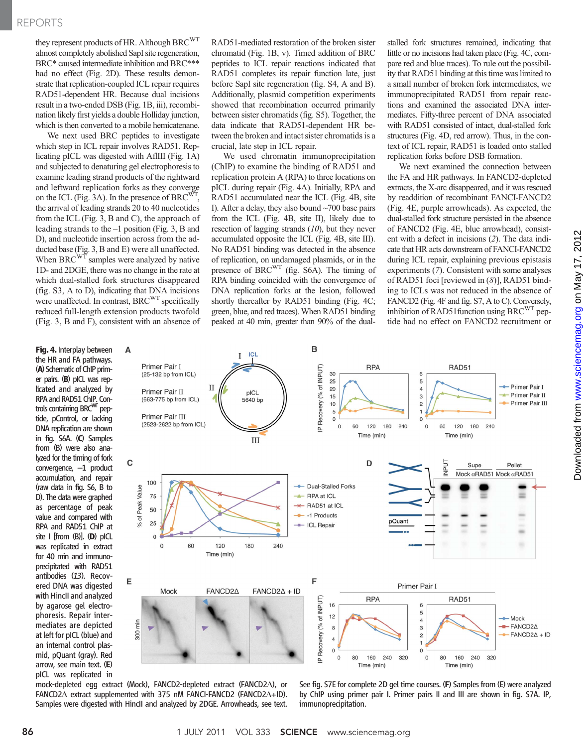## REPORTS

they represent products of HR. Although BRC<sup>WT</sup> almost completely abolished SapI site regeneration, BRC\* caused intermediate inhibition and BRC\*\*\* had no effect (Fig. 2D). These results demonstrate that replication-coupled ICL repair requires RAD51-dependent HR. Because dual incisions result in a two-ended DSB (Fig. 1B, iii), recombination likely first yields a double Holliday junction, which is then converted to a mobile hemicatenane.

We next used BRC peptides to investigate which step in ICL repair involves RAD51. Replicating pICL was digested with AflIII (Fig. 1A) and subjected to denaturing gel electrophoresis to examine leading strand products of the rightward and leftward replication forks as they converge on the ICL (Fig. 3A). In the presence of  $BRC<sup>W</sup>$ the arrival of leading strands 20 to 40 nucleotides from the ICL (Fig. 3, B and C), the approach of leading strands to the –1 position (Fig. 3, B and D), and nucleotide insertion across from the adducted base (Fig. 3, B and E) were all unaffected. When BRC $\overset{\text{w}}{\text{T}}$  samples were analyzed by native 1D- and 2DGE, there was no change in the rate at which dual-stalled fork structures disappeared (fig. S3, A to D), indicating that DNA incisions were unaffected. In contrast, BRC<sup>WT</sup> specifically reduced full-length extension products twofold (Fig. 3, B and F), consistent with an absence of

Δ

 $\mathbf c$ 

E

min

χm

100

50

 $25$ 

 $\Omega$ 

% of Peak Value 75

Fig. 4. Interplay between the HR and FA pathways. (A) Schematic of ChIP primer pairs. (B) pICL was replicated and analyzed by RPA and RAD51 ChIP. Controls containing BRC<sup>WT</sup> peptide, pControl, or lacking DNA replication are shown in fig. S6A. (C) Samples from (B) were also analyzed for the timing of fork convergence, –1 product accumulation, and repair (raw data in fig. S6, B to D). The data were graphed as percentage of peak value and compared with RPA and RAD51 ChIP at site I [from (B)]. (D) pICL was replicated in extract for 40 min and immunoprecipitated with RAD51 antibodies (13). Recovered DNA was digested with HincII and analyzed by agarose gel electrophoresis. Repair intermediates are depicted at left for pICL (blue) and an internal control plasmid, pQuant (gray). Red arrow, see main text. (E) pICL was replicated in RAD51-mediated restoration of the broken sister chromatid (Fig. 1B, v). Timed addition of BRC peptides to ICL repair reactions indicated that RAD51 completes its repair function late, just before SapI site regeneration (fig. S4, A and B). Additionally, plasmid competition experiments showed that recombination occurred primarily between sister chromatids (fig. S5). Together, the data indicate that RAD51-dependent HR between the broken and intact sister chromatids is a crucial, late step in ICL repair.

We used chromatin immunoprecipitation (ChIP) to examine the binding of RAD51 and replication protein A (RPA) to three locations on pICL during repair (Fig. 4A). Initially, RPA and RAD51 accumulated near the ICL (Fig. 4B, site I). After a delay, they also bound ~700 base pairs from the ICL (Fig. 4B, site II), likely due to resection of lagging strands (10), but they never accumulated opposite the ICL (Fig. 4B, site III). No RAD51 binding was detected in the absence of replication, on undamaged plasmids, or in the presence of BRCWT (fig. S6A). The timing of RPA binding coincided with the convergence of DNA replication forks at the lesion, followed shortly thereafter by RAD51 binding (Fig. 4C; green, blue, and red traces). When RAD51 binding peaked at 40 min, greater than 90% of the dualstalled fork structures remained, indicating that little or no incisions had taken place (Fig. 4C, compare red and blue traces). To rule out the possibility that RAD51 binding at this time was limited to a small number of broken fork intermediates, we immunoprecipitated RAD51 from repair reactions and examined the associated DNA intermediates. Fifty-three percent of DNA associated with RAD51 consisted of intact, dual-stalled fork structures (Fig. 4D, red arrow). Thus, in the context of ICL repair, RAD51 is loaded onto stalled replication forks before DSB formation.

We next examined the connection between the FA and HR pathways. In FANCD2-depleted extracts, the X-arc disappeared, and it was rescued by readdition of recombinant FANCI-FANCD2 (Fig. 4E, purple arrowheads). As expected, the dual-stalled fork structure persisted in the absence of FANCD2 (Fig. 4E, blue arrowhead), consistent with a defect in incisions (2). The data indicate that HR acts downstream of FANCI-FANCD2 during ICL repair, explaining previous epistasis experiments (7). Consistent with some analyses of RAD51 foci [reviewed in (8)], RAD51 binding to ICLs was not reduced in the absence of FANCD2 (Fig. 4F and fig. S7, A to C). Conversely, inhibition of RAD51 function using  $BRC^{WT}$  peptide had no effect on FANCD2 recruitment or



mock-depleted egg extract (Mock), FANCD2-depleted extract (FANCD2 $\triangle$ ), or FANCD2 $\Delta$  extract supplemented with 375 nM FANCI-FANCD2 (FANCD2 $\Delta$ +ID). Samples were digested with HincII and analyzed by 2DGE. Arrowheads, see text. See fig. S7E for complete 2D gel time courses. (F) Samples from (E) were analyzed by ChIP using primer pair I. Primer pairs II and III are shown in fig. S7A. IP, immunoprecipitation.